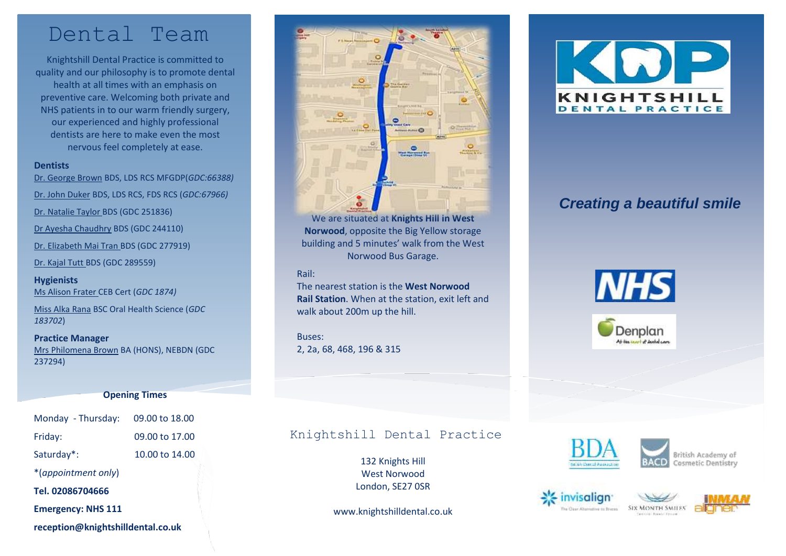## Dental Team

Knightshill Dental Practice is committed to quality and our philosophy is to promote dental health at all times with an emphasis on preventive care. Welcoming both private and NHS patients in to our warm friendly surgery, our experienced and highly professional dentists are here to make even the most nervous feel completely at ease.

#### **Dentists**

Dr. George Brown BDS, LDS RCS MFGDP(*GDC:66388)* Dr. John Duker BDS, LDS RCS, FDS RCS (*GDC:67966)* Dr. Natalie Taylor BDS (GDC 251836) Dr Ayesha Chaudhry BDS (GDC 244110) Dr. Elizabeth Mai Tran BDS (GDC 277919) Dr. Kajal Tutt BDS (GDC 289559)

**Hygienists** Ms Alison Frater CEB Cert (*GDC 1874)*

Miss Alka Rana BSC Oral Health Science (*GDC 183702*)

**Practice Manager** Mrs Philomena Brown BA (HONS), NEBDN (GDC 237294)

#### **Opening Times**

| Monday - Thursday:                | 09.00 to 18.00 |
|-----------------------------------|----------------|
| Friday:                           | 09.00 to 17.00 |
| Saturday*:                        | 10.00 to 14.00 |
| *(appointment only)               |                |
| Tel. 02086704666                  |                |
| <b>Emergency: NHS 111</b>         |                |
| reception@knightshilldental.co.uk |                |



We are situated at **Knights Hill in West Norwood**, opposite the Big Yellow storage building and 5 minutes' walk from the West Norwood Bus Garage.

#### Rail:

The nearest station is the **West Norwood Rail Station**. When at the station, exit left and walk about 200m up the hill.

Buses: 2, 2a, 68, 468, 196 & 315

### Knightshill Dental Practice

132 Knights Hill West Norwood London, SE27 0SR

www.knightshilldental.co.uk



## *Creating a beautiful smile*